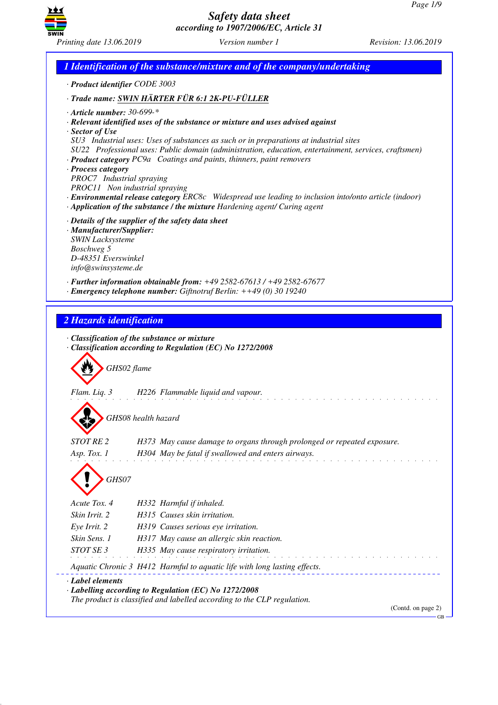GB



*Safety data sheet according to 1907/2006/EC, Article 31*

*1 Identification of the substance/mixture and of the company/undertaking · Product identifier CODE 3003 · Trade name: SWIN HÄRTER FÜR 6:1 2K-PU-FÜLLER · Article number: 30-699-\* · Relevant identified uses of the substance or mixture and uses advised against · Sector of Use SU3 Industrial uses: Uses of substances as such or in preparations at industrial sites SU22 Professional uses: Public domain (administration, education, entertainment, services, craftsmen) · Product category PC9a Coatings and paints, thinners, paint removers · Process category PROC7 Industrial spraying PROC11 Non industrial spraying · Environmental release category ERC8c Widespread use leading to inclusion into/onto article (indoor) · Application of the substance / the mixture Hardening agent/ Curing agent · Details of the supplier of the safety data sheet · Manufacturer/Supplier: SWIN Lacksysteme Boschweg 5 D-48351 Everswinkel info@swinsysteme.de · Further information obtainable from: +49 2582-67613 / +49 2582-67677 · Emergency telephone number: Giftnotruf Berlin: ++49 (0) 30 19240 2 Hazards identification · Classification of the substance or mixture · Classification according to Regulation (EC) No 1272/2008* d~*GHS02 flame Flam. Liq. 3 H226 Flammable liquid and vapour.* d~*GHS08 health hazard STOT RE 2 H373 May cause damage to organs through prolonged or repeated exposure. Asp. Tox. 1 H304 May be fatal if swallowed and enters airways.* d~*GHS07 Acute Tox. 4 H332 Harmful if inhaled. Skin Irrit. 2 H315 Causes skin irritation. Eye Irrit. 2 H319 Causes serious eye irritation. Skin Sens. 1 H317 May cause an allergic skin reaction. STOT SE 3 H335 May cause respiratory irritation. Aquatic Chronic 3 H412 Harmful to aquatic life with long lasting effects. · Label elements · Labelling according to Regulation (EC) No 1272/2008 The product is classified and labelled according to the CLP regulation.* (Contd. on page 2)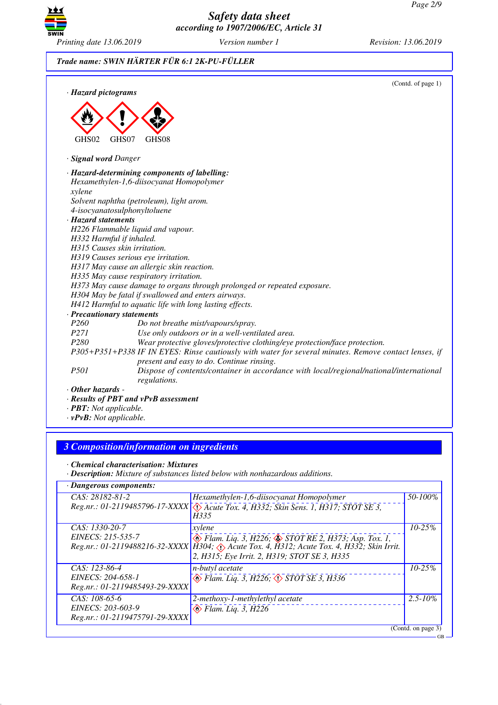GB



*Safety data sheet according to 1907/2006/EC, Article 31*

# *Trade name: SWIN HÄRTER FÜR 6:1 2K-PU-FÜLLER*

| · Hazard pictograms        | (Contd. of page 1)                                                                                                                                 |
|----------------------------|----------------------------------------------------------------------------------------------------------------------------------------------------|
|                            |                                                                                                                                                    |
|                            |                                                                                                                                                    |
| GHS02                      | GHS07<br>GHS <sub>08</sub>                                                                                                                         |
| · Signal word Danger       |                                                                                                                                                    |
|                            | · Hazard-determining components of labelling:                                                                                                      |
|                            | Hexamethylen-1,6-diisocyanat Homopolymer                                                                                                           |
| xylene                     |                                                                                                                                                    |
|                            | Solvent naphtha (petroleum), light arom.                                                                                                           |
|                            | 4-isocyanatosulphonyltoluene                                                                                                                       |
| · Hazard statements        |                                                                                                                                                    |
|                            | H226 Flammable liquid and vapour.                                                                                                                  |
| H332 Harmful if inhaled.   | H315 Causes skin irritation.                                                                                                                       |
|                            |                                                                                                                                                    |
|                            | H319 Causes serious eye irritation.<br>H317 May cause an allergic skin reaction.                                                                   |
|                            | H335 May cause respiratory irritation.                                                                                                             |
|                            | H373 May cause damage to organs through prolonged or repeated exposure.                                                                            |
|                            | H304 May be fatal if swallowed and enters airways.                                                                                                 |
|                            | H412 Harmful to aquatic life with long lasting effects.                                                                                            |
| · Precautionary statements |                                                                                                                                                    |
| P <sub>260</sub>           | Do not breathe mist/vapours/spray.                                                                                                                 |
| <i>P271</i>                | Use only outdoors or in a well-ventilated area.                                                                                                    |
| P <sub>280</sub>           | Wear protective gloves/protective clothing/eye protection/face protection.                                                                         |
|                            | P305+P351+P338 IF IN EYES: Rinse cautiously with water for several minutes. Remove contact lenses, if<br>present and easy to do. Continue rinsing. |
| <i>P501</i>                | Dispose of contents/container in accordance with local/regional/national/international<br>regulations.                                             |
| $\cdot$ Other hazards -    |                                                                                                                                                    |
|                            | · Results of PBT and vPvB assessment                                                                                                               |

- *· PBT: Not applicable.*
- *· vPvB: Not applicable.*

# *3 Composition/information on ingredients*

*· Chemical characterisation: Mixtures*

*· Description: Mixture of substances listed below with nonhazardous additions.*

| · Dangerous components:        |                                                                                                |                    |
|--------------------------------|------------------------------------------------------------------------------------------------|--------------------|
| $CAS: 28182-81-2$              | Hexamethylen-1,6-diisocyanat Homopolymer                                                       | 50-100%            |
|                                | Reg.nr.: 01-2119485796-17-XXXX \(\) Acute Tox. 4, H332; Skin Sens. 1, H317; STOT SE 3,<br>H335 |                    |
| CAS: 1330-20-7                 | xylene                                                                                         | $10 - 25%$         |
| EINECS: 215-535-7              | $\circledast$ Flam. Liq. 3, H226; $\circledast$ STOT RE 2, H373; Asp. Tox. 1,                  |                    |
|                                | Reg.nr.: 01-2119488216-32-XXXX   H304; Acute Tox. 4, H312; Acute Tox. 4, H332; Skin Irrit.     |                    |
|                                | 2, H315; Eye Irrit. 2, H319; STOT SE 3, H335                                                   |                    |
| CAS: 123-86-4                  | <i>n-butyl acetate</i>                                                                         | $10 - 25%$         |
| EINECS: 204-658-1              | $\circledcirc$ Flam. Liq. 3, H226; $\circledcirc$ STOT SE 3, H336                              |                    |
| Reg.nr.: 01-2119485493-29-XXXX |                                                                                                |                    |
| $CAS: 108-65-6$                | 2-methoxy-1-methylethyl acetate                                                                | $2.5 - 10\%$       |
| EINECS: 203-603-9              | $\otimes$ Flam. Liq. 3, H226                                                                   |                    |
| Reg.nr.: 01-2119475791-29-XXXX |                                                                                                |                    |
|                                |                                                                                                | (Contd. on page 3) |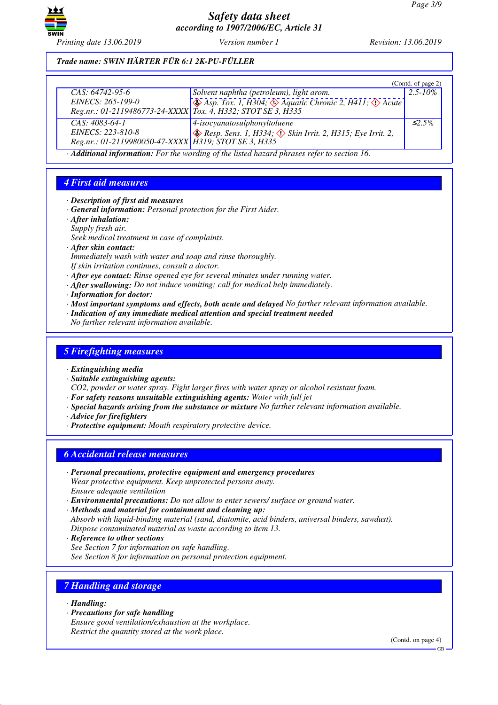

## *Trade name: SWIN HÄRTER FÜR 6:1 2K-PU-FÜLLER*

|                                                                |                                                                                                         | (Contd. of page 2) |
|----------------------------------------------------------------|---------------------------------------------------------------------------------------------------------|--------------------|
| $CAS: 64742-95-6$                                              | Solvent naphtha (petroleum), light arom.                                                                | $2.5 - 10\%$       |
| EINECS: 265-199-0                                              | $\leftrightarrow$ Asp. Tox. 1, H304; $\leftrightarrow$ Aquatic Chronic 2, H411; $\leftrightarrow$ Acute |                    |
| Reg.nr.: 01-2119486773-24-XXXX   Tox. 4, H332; STOT SE 3, H335 |                                                                                                         |                    |
| $CAS: 4083-64-1$                                               | $4-isocyan atosulphonyltoluene$                                                                         | $\leq$ 5%          |
| EINECS: 223-810-8                                              | $\otimes$ Resp. Sens. 1, H334; $\otimes$ Skin Irrit. 2, H315; Eye Irrit. 2,                             |                    |
| Reg.nr.: 01-2119980050-47-XXXX   H319; STOT SE 3, H335         |                                                                                                         |                    |

*· Additional information: For the wording of the listed hazard phrases refer to section 16.*

## *4 First aid measures*

- *· Description of first aid measures*
- *· General information: Personal protection for the First Aider.*
- *· After inhalation:*
- *Supply fresh air.*
- *Seek medical treatment in case of complaints.*
- *· After skin contact:*
- *Immediately wash with water and soap and rinse thoroughly.*
- *If skin irritation continues, consult a doctor.*
- *· After eye contact: Rinse opened eye for several minutes under running water.*
- *· After swallowing: Do not induce vomiting; call for medical help immediately.*
- *· Information for doctor:*
- *· Most important symptoms and effects, both acute and delayed No further relevant information available.*
- *· Indication of any immediate medical attention and special treatment needed*
- *No further relevant information available.*

#### *5 Firefighting measures*

- *· Extinguishing media*
- *· Suitable extinguishing agents:*

*CO2, powder or water spray. Fight larger fires with water spray or alcohol resistant foam.*

- *· For safety reasons unsuitable extinguishing agents: Water with full jet*
- *· Special hazards arising from the substance or mixture No further relevant information available.*
- *· Advice for firefighters*
- *· Protective equipment: Mouth respiratory protective device.*

## *6 Accidental release measures*

- *· Personal precautions, protective equipment and emergency procedures Wear protective equipment. Keep unprotected persons away. Ensure adequate ventilation*
- *· Environmental precautions: Do not allow to enter sewers/ surface or ground water.*
- *· Methods and material for containment and cleaning up: Absorb with liquid-binding material (sand, diatomite, acid binders, universal binders, sawdust). Dispose contaminated material as waste according to item 13.*
- *· Reference to other sections See Section 7 for information on safe handling. See Section 8 for information on personal protection equipment.*

## *7 Handling and storage*

- *· Handling:*
- *· Precautions for safe handling*
- *Ensure good ventilation/exhaustion at the workplace. Restrict the quantity stored at the work place.*

(Contd. on page 4)

GB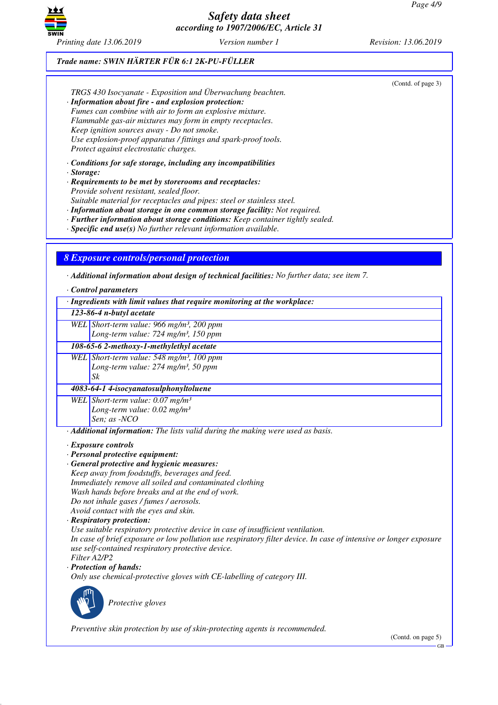

*Trade name: SWIN HÄRTER FÜR 6:1 2K-PU-FÜLLER*

|                                                                                            | TRGS 430 Isocyanate - Exposition und Überwachung beachten.<br>· Information about fire - and explosion protection:<br>Fumes can combine with air to form an explosive mixture.<br>Flammable gas-air mixtures may form in empty receptacles.<br>Keep ignition sources away - Do not smoke.<br>Use explosion-proof apparatus / fittings and spark-proof tools.<br>Protect against electrostatic charges.                                                                                         | (Contd. of page 3) |
|--------------------------------------------------------------------------------------------|------------------------------------------------------------------------------------------------------------------------------------------------------------------------------------------------------------------------------------------------------------------------------------------------------------------------------------------------------------------------------------------------------------------------------------------------------------------------------------------------|--------------------|
| · Storage:                                                                                 | $\cdot$ Conditions for safe storage, including any incompatibilities<br>· Requirements to be met by storerooms and receptacles:<br>Provide solvent resistant, sealed floor.<br>Suitable material for receptacles and pipes: steel or stainless steel.<br>· Information about storage in one common storage facility: Not required.<br>· Further information about storage conditions: Keep container tightly sealed.<br>$\cdot$ Specific end use(s) No further relevant information available. |                    |
| · Control parameters                                                                       | <b>8 Exposure controls/personal protection</b><br>$\cdot$ Additional information about design of technical facilities: No further data; see item 7.<br>· Ingredients with limit values that require monitoring at the workplace:                                                                                                                                                                                                                                                               |                    |
| 123-86-4 n-butyl acetate                                                                   |                                                                                                                                                                                                                                                                                                                                                                                                                                                                                                |                    |
|                                                                                            | WEL Short-term value: 966 mg/m <sup>3</sup> , 200 ppm<br>Long-term value: 724 mg/m <sup>3</sup> , 150 ppm                                                                                                                                                                                                                                                                                                                                                                                      |                    |
|                                                                                            | 108-65-6 2-methoxy-1-methylethyl acetate                                                                                                                                                                                                                                                                                                                                                                                                                                                       |                    |
| $S_k$                                                                                      | WEL Short-term value: 548 mg/m <sup>3</sup> , 100 ppm<br>Long-term value: 274 mg/m <sup>3</sup> , 50 ppm                                                                                                                                                                                                                                                                                                                                                                                       |                    |
|                                                                                            | 4083-64-1 4-isocyanatosulphonyltoluene                                                                                                                                                                                                                                                                                                                                                                                                                                                         |                    |
| Sen; as -NCO                                                                               | WEL Short-term value: $0.07$ mg/m <sup>3</sup><br>Long-term value: $0.02$ mg/m <sup>3</sup>                                                                                                                                                                                                                                                                                                                                                                                                    |                    |
| $\cdot$ Exposure controls<br>· Personal protective equipment:<br>· Respiratory protection: | · Additional information: The lists valid during the making were used as basis.<br>· General protective and hygienic measures:<br>Keep away from foodstuffs, beverages and feed.<br>Immediately remove all soiled and contaminated clothing<br>Wash hands before breaks and at the end of work.<br>Do not inhale gases / fumes / aerosols.<br>Avoid contact with the eyes and skin.                                                                                                            |                    |

*Use suitable respiratory protective device in case of insufficient ventilation.*

*In case of brief exposure or low pollution use respiratory filter device. In case of intensive or longer exposure use self-contained respiratory protective device. Filter A2/P2*

*· Protection of hands:*

*Only use chemical-protective gloves with CE-labelling of category III.*



\_S*Protective gloves*

*Preventive skin protection by use of skin-protecting agents is recommended.*

(Contd. on page 5)

GB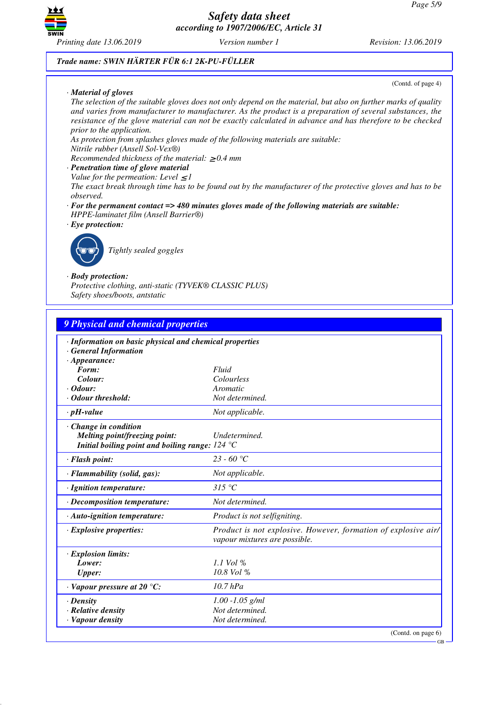

#### *Trade name: SWIN HÄRTER FÜR 6:1 2K-PU-FÜLLER*

*· Material of gloves*

(Contd. of page 4)

GB

*The selection of the suitable gloves does not only depend on the material, but also on further marks of quality and varies from manufacturer to manufacturer. As the product is a preparation of several substances, the resistance of the glove material can not be exactly calculated in advance and has therefore to be checked prior to the application.*

*As protection from splashes gloves made of the following materials are suitable:*

*Nitrile rubber (Ansell Sol-Vex®)*

*Recommended thickness of the material:* ≥ *0.4 mm*

- *· Penetration time of glove material*
- *Value for the permeation: Level*  $\leq$  *I*

*The exact break through time has to be found out by the manufacturer of the protective gloves and has to be observed.*

- *· For the permanent contact => 480 minutes gloves made of the following materials are suitable: HPPE-laminatet film (Ansell Barrier®)*
- *· Eye protection:*



\_R*Tightly sealed goggles*

#### *· Body protection:*

*Protective clothing, anti-static (TYVEK® CLASSIC PLUS) Safety shoes/boots, antstatic*

| 9 Physical and chemical properties                                                                        |                                                                                                 |  |
|-----------------------------------------------------------------------------------------------------------|-------------------------------------------------------------------------------------------------|--|
| · Information on basic physical and chemical properties<br><b>General Information</b>                     |                                                                                                 |  |
| $\cdot$ Appearance:<br>Form:                                                                              | Fluid                                                                                           |  |
| Colour:                                                                                                   | Colourless                                                                                      |  |
| $\cdot$ Odour:                                                                                            | Aromatic                                                                                        |  |
| · Odour threshold:                                                                                        | Not determined.                                                                                 |  |
| $\cdot$ pH-value                                                                                          | Not applicable.                                                                                 |  |
| Change in condition<br>Melting point/freezing point:<br>Initial boiling point and boiling range: $124 °C$ | Undetermined.                                                                                   |  |
| · Flash point:                                                                                            | $23 - 60$ °C                                                                                    |  |
| · Flammability (solid, gas):                                                                              | Not applicable.                                                                                 |  |
| · Ignition temperature:                                                                                   | $315\text{ °C}$                                                                                 |  |
| · Decomposition temperature:                                                                              | Not determined.                                                                                 |  |
| · Auto-ignition temperature:                                                                              | <i>Product is not selfigniting.</i>                                                             |  |
| $\cdot$ Explosive properties:                                                                             | Product is not explosive. However, formation of explosive air/<br>vapour mixtures are possible. |  |
| · Explosion limits:                                                                                       |                                                                                                 |  |
| Lower:                                                                                                    | $1.1$ Vol %                                                                                     |  |
| <b>Upper:</b>                                                                                             | 10.8 Vol %                                                                                      |  |
| $\cdot$ Vapour pressure at 20 °C:                                                                         | $10.7$ hPa                                                                                      |  |
| $\cdot$ Density                                                                                           | $1.00 - 1.05$ g/ml                                                                              |  |
| · Relative density                                                                                        | Not determined.                                                                                 |  |
| · Vapour density                                                                                          | Not determined.                                                                                 |  |
|                                                                                                           | (Contd. on page 6)                                                                              |  |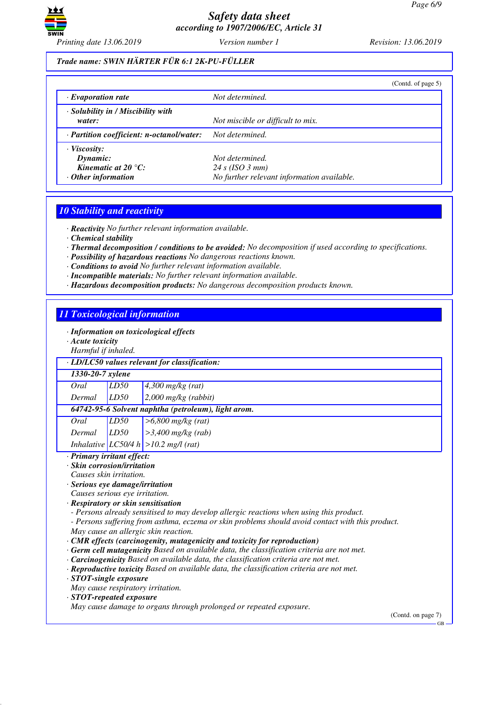

## *Trade name: SWIN HÄRTER FÜR 6:1 2K-PU-FÜLLER*

|                                                                                              | (Contd. of page 5)                                                               |
|----------------------------------------------------------------------------------------------|----------------------------------------------------------------------------------|
| $\cdot$ Evaporation rate                                                                     | Not determined.                                                                  |
| · Solubility in / Miscibility with<br>water:                                                 | Not miscible or difficult to mix.                                                |
| · Partition coefficient: n-octanol/water:                                                    | Not determined.                                                                  |
| $\cdot$ Viscosity:<br>Dynamic:<br>Kinematic at 20 $^{\circ}$ C:<br>$\cdot$ Other information | Not determined.<br>24 s (ISO 3 mm)<br>No further relevant information available. |

#### *10 Stability and reactivity*

*· Reactivity No further relevant information available.*

- *· Chemical stability*
- *· Thermal decomposition / conditions to be avoided: No decomposition if used according to specifications.*
- *· Possibility of hazardous reactions No dangerous reactions known.*
- *· Conditions to avoid No further relevant information available.*
- *· Incompatible materials: No further relevant information available.*
- *· Hazardous decomposition products: No dangerous decomposition products known.*

## *11 Toxicological information*

- *· Information on toxicological effects*
- *· Acute toxicity*
- *Harmful if inhaled.*

|                                                     | <i>Harman y madreu.</i>                             |      |                                           |  |
|-----------------------------------------------------|-----------------------------------------------------|------|-------------------------------------------|--|
|                                                     | $\cdot$ LD/LC50 values relevant for classification: |      |                                           |  |
|                                                     | 1330-20-7 xylene                                    |      |                                           |  |
|                                                     | Oral                                                | LD50 | $4,300$ mg/kg (rat)                       |  |
|                                                     | Dermal                                              | LD50 | $2,000$ mg/kg (rabbit)                    |  |
| 64742-95-6 Solvent naphtha (petroleum), light arom. |                                                     |      |                                           |  |
|                                                     | Oral                                                | LD50 | $>6,800$ mg/kg (rat)                      |  |
|                                                     | Dermal                                              | LD50 | $>3,400$ mg/kg (rab)                      |  |
|                                                     |                                                     |      | Inhalative $ LCS0/4 h  > 10.2$ mg/l (rat) |  |

#### *· Primary irritant effect:*

- *· Skin corrosion/irritation*
- *Causes skin irritation.*
- *· Serious eye damage/irritation*
- *Causes serious eye irritation.*
- *· Respiratory or skin sensitisation*
- *Persons already sensitised to may develop allergic reactions when using this product.*
- *Persons suffering from asthma, eczema or skin problems should avoid contact with this product. May cause an allergic skin reaction.*
- *· CMR effects (carcinogenity, mutagenicity and toxicity for reproduction)*
- *· Germ cell mutagenicity Based on available data, the classification criteria are not met.*
- *· Carcinogenicity Based on available data, the classification criteria are not met.*
- *· Reproductive toxicity Based on available data, the classification criteria are not met.*
- *· STOT-single exposure*
- *May cause respiratory irritation.*
- *· STOT-repeated exposure*

*May cause damage to organs through prolonged or repeated exposure.*

(Contd. on page 7)

 $\overline{G}R$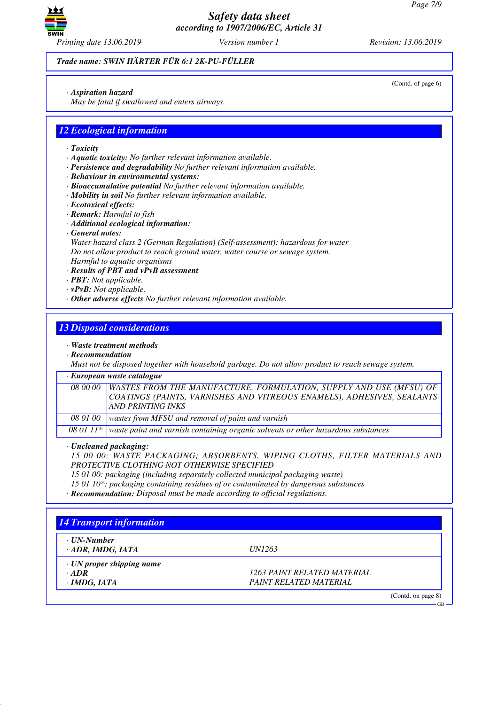

*Trade name: SWIN HÄRTER FÜR 6:1 2K-PU-FÜLLER*

*· Aspiration hazard*

*May be fatal if swallowed and enters airways.*

## *12 Ecological information*

- *· Toxicity*
- *· Aquatic toxicity: No further relevant information available.*
- *· Persistence and degradability No further relevant information available.*
- *· Behaviour in environmental systems:*
- *· Bioaccumulative potential No further relevant information available.*
- *· Mobility in soil No further relevant information available.*
- *· Ecotoxical effects:*
- *· Remark: Harmful to fish*
- *· Additional ecological information:*
- *· General notes:*

*Water hazard class 2 (German Regulation) (Self-assessment): hazardous for water Do not allow product to reach ground water, water course or sewage system. Harmful to aquatic organisms*

- *· Results of PBT and vPvB assessment*
- *· PBT: Not applicable.*
- *· vPvB: Not applicable.*
- *· Other adverse effects No further relevant information available.*

## *13 Disposal considerations*

*· Waste treatment methods*

*· Recommendation*

*Must not be disposed together with household garbage. Do not allow product to reach sewage system.*

#### *· European waste catalogue*

*08 00 00 WASTES FROM THE MANUFACTURE, FORMULATION, SUPPLY AND USE (MFSU) OF COATINGS (PAINTS, VARNISHES AND VITREOUS ENAMELS), ADHESIVES, SEALANTS AND PRINTING INKS 08 01 00 wastes from MFSU and removal of paint and varnish*

*08 01 11\* waste paint and varnish containing organic solvents or other hazardous substances*

*· Uncleaned packaging:*

*15 00 00: WASTE PACKAGING; ABSORBENTS, WIPING CLOTHS, FILTER MATERIALS AND PROTECTIVE CLOTHING NOT OTHERWISE SPECIFIED*

- *15 01 00: packaging (including separately collected municipal packaging waste)*
- *15 01 10\*: packaging containing residues of or contaminated by dangerous substances*
- *· Recommendation: Disposal must be made according to official regulations.*

## *14 Transport information · UN-Number · ADR, IMDG, IATA UN1263 · UN proper shipping name · ADR 1263 PAINT RELATED MATERIAL · IMDG, IATA PAINT RELATED MATERIAL* (Contd. on page 8) GB

(Contd. of page 6)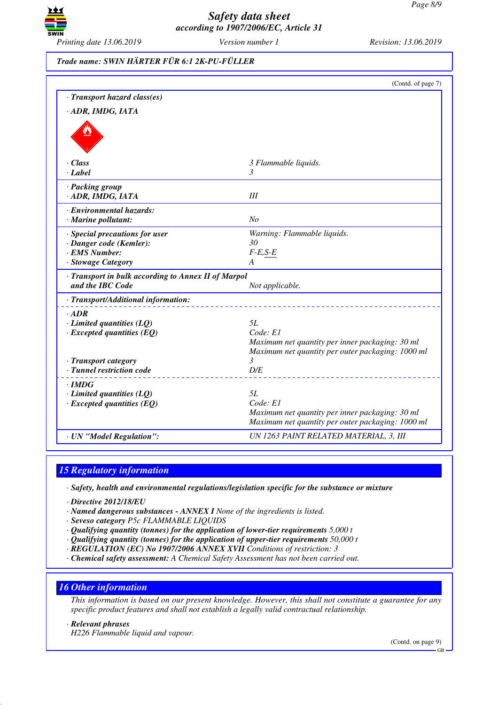

| Trade name: SWIN HÄRTER FÜR 6:1 2K-PU-FÜLLER |  |
|----------------------------------------------|--|
|                                              |  |

|                                                                                | (Contd. of page 7)                                                                                   |
|--------------------------------------------------------------------------------|------------------------------------------------------------------------------------------------------|
| · Transport hazard class(es)                                                   |                                                                                                      |
| · ADR, IMDG, IATA                                                              |                                                                                                      |
|                                                                                |                                                                                                      |
| · Class                                                                        | 3 Flammable liquids.                                                                                 |
| $\cdot$ <i>Label</i>                                                           | 3                                                                                                    |
| · Packing group<br>ADR, IMDG, IATA                                             | III                                                                                                  |
| · Environmental hazards:                                                       |                                                                                                      |
| · Marine pollutant:                                                            | N <sub>o</sub>                                                                                       |
| · Special precautions for user                                                 | Warning: Flammable liquids.                                                                          |
| · Danger code (Kemler):                                                        | 30                                                                                                   |
| · EMS Number:                                                                  | $F-E,S-E$                                                                                            |
|                                                                                |                                                                                                      |
| · Stowage Category<br>A<br>· Transport in bulk according to Annex II of Marpol |                                                                                                      |
| and the IBC Code                                                               | Not applicable.                                                                                      |
| · Transport/Additional information:                                            |                                                                                                      |
| $\cdot$ ADR                                                                    |                                                                                                      |
| $\cdot$ Limited quantities (LQ)                                                | 5L                                                                                                   |
| $\cdot$ Excepted quantities (EQ)                                               | Code: El                                                                                             |
|                                                                                | Maximum net quantity per inner packaging: 30 ml                                                      |
|                                                                                | Maximum net quantity per outer packaging: 1000 ml                                                    |
| · Transport category                                                           | 3                                                                                                    |
| · Tunnel restriction code                                                      | D/E                                                                                                  |
| · IMDG                                                                         |                                                                                                      |
| $\cdot$ Limited quantities (LQ)                                                | 5L                                                                                                   |
| $\cdot$ Excepted quantities (EQ)                                               | Code: El                                                                                             |
|                                                                                | Maximum net quantity per inner packaging: 30 ml<br>Maximum net quantity per outer packaging: 1000 ml |
| · UN "Model Regulation":                                                       | UN 1263 PAINT RELATED MATERIAL, 3, III                                                               |

## *15 Regulatory information*

*· Safety, health and environmental regulations/legislation specific for the substance or mixture*

- *· Directive 2012/18/EU*
- *· Named dangerous substances ANNEX I None of the ingredients is listed.*
- *· Seveso category P5c FLAMMABLE LIQUIDS*
- *· Qualifying quantity (tonnes) for the application of lower-tier requirements 5,000 t*
- *· Qualifying quantity (tonnes) for the application of upper-tier requirements 50,000 t*
- *· REGULATION (EC) No 1907/2006 ANNEX XVII Conditions of restriction: 3*
- *· Chemical safety assessment: A Chemical Safety Assessment has not been carried out.*

## *16 Other information*

*This information is based on our present knowledge. However, this shall not constitute a guarantee for any specific product features and shall not establish a legally valid contractual relationship.*

*· Relevant phrases*

*H226 Flammable liquid and vapour.*

(Contd. on page 9)

GB